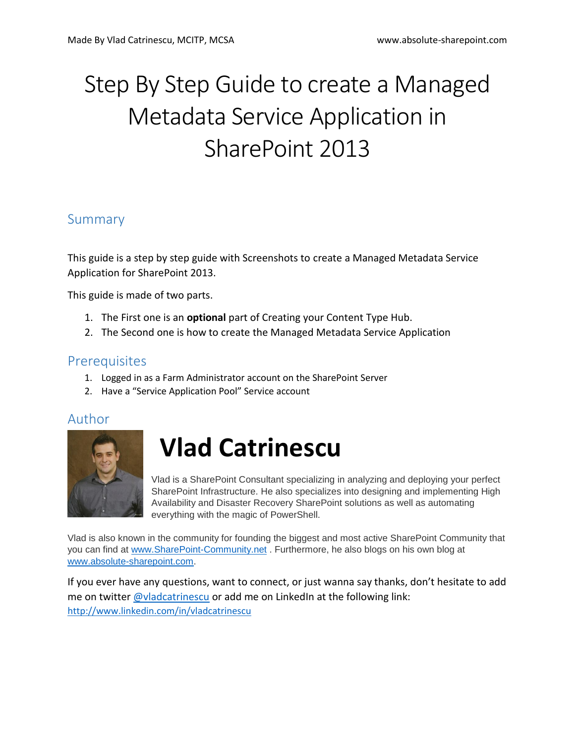# Step By Step Guide to create a Managed Metadata Service Application in SharePoint 2013

#### Summary

This guide is a step by step guide with Screenshots to create a Managed Metadata Service Application for SharePoint 2013.

This guide is made of two parts.

- 1. The First one is an **optional** part of Creating your Content Type Hub.
- 2. The Second one is how to create the Managed Metadata Service Application

#### **Prerequisites**

- 1. Logged in as a Farm Administrator account on the SharePoint Server
- 2. Have a "Service Application Pool" Service account

#### Author



## **Vlad Catrinescu**

Vlad is a SharePoint Consultant specializing in analyzing and deploying your perfect SharePoint Infrastructure. He also specializes into designing and implementing High Availability and Disaster Recovery SharePoint solutions as well as automating everything with the magic of PowerShell.

Vlad is also known in the community for founding the biggest and most active SharePoint Community that you can find at [www.SharePoint-Community.net](http://www.sharepoint-community.net/) . Furthermore, he also blogs on his own blog at [www.absolute-sharepoint.com.](http://www.absolute-sharepoint.com/)

If you ever have any questions, want to connect, or just wanna say thanks, don't hesitate to add me on twitter **@vladcatrinescu** or add me on LinkedIn at the following link: <http://www.linkedin.com/in/vladcatrinescu>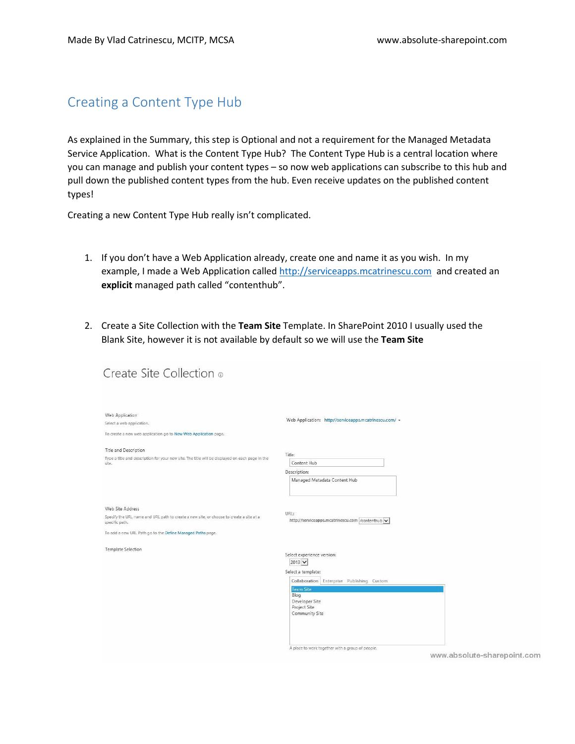#### Creating a Content Type Hub

As explained in the Summary, this step is Optional and not a requirement for the Managed Metadata Service Application. What is the Content Type Hub? The Content Type Hub is a central location where you can manage and publish your content types – so now web applications can subscribe to this hub and pull down the published content types from the hub. Even receive updates on the published content types!

Creating a new Content Type Hub really isn't complicated.

- 1. If you don't have a Web Application already, create one and name it as you wish. In my example, I made a Web Application calle[d http://serviceapps.mcatrinescu.com](http://serviceapps.mcatrinescu.com/) and created an **explicit** managed path called "contenthub".
- 2. Create a Site Collection with the **Team Site** Template. In SharePoint 2010 I usually used the Blank Site, however it is not available by default so we will use the **Team Site**

Create Site Collection ®

| Web Application<br>Select a web application.<br>To create a new web application go to New Web Application page.                                                                             | Web Application: http://serviceapps.mcatrinescu.com/ +                                                                                                                                                                                                                             |
|---------------------------------------------------------------------------------------------------------------------------------------------------------------------------------------------|------------------------------------------------------------------------------------------------------------------------------------------------------------------------------------------------------------------------------------------------------------------------------------|
| Title and Description<br>Type a title and description for your new site. The title will be displayed on each page in the<br>site.                                                           | Title:<br>Content Hub<br>Description:<br>Managed Metadata Content Hub                                                                                                                                                                                                              |
| Web Site Address<br>Specify the URL name and URL path to create a new site, or choose to create a site at a<br>specific path.<br>To add a new URL Path go to the Define Managed Paths page. | URL:<br>http://serviceapps.mcatrinescu.com /contenthub v                                                                                                                                                                                                                           |
| Template Selection                                                                                                                                                                          | Select experience version:<br>$2013$ $\vee$<br>Select a template:<br>Collaboration Enterprise Publishing Custom<br><b>Team Site</b><br>Blog<br>Developer Site<br>Project Site<br>Community Site<br>A place to work together with a group of people.<br>www.absolute-sharepoint.com |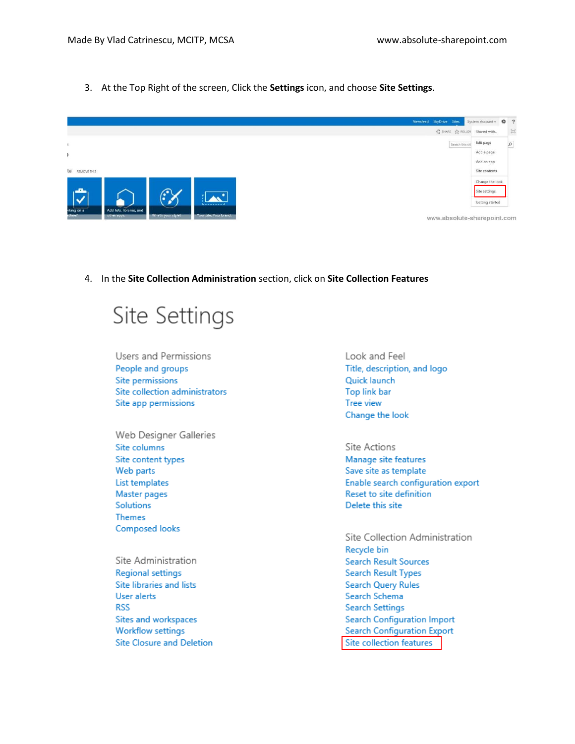3. At the Top Right of the screen, Click the **Settings** icon, and choose **Site Settings**.



4. In the **Site Collection Administration** section, click on **Site Collection Features**

### Site Settings

- Users and Permissions People and groups Site permissions Site collection administrators Site app permissions
- Web Designer Galleries Site columns Site content types Web parts List templates Master pages **Solutions Themes** Composed looks
- Site Administration **Regional settings** Site libraries and lists User alerts **RSS** Sites and workspaces **Workflow settings Site Closure and Deletion**

Look and Feel Title, description, and logo Quick launch Top link bar Tree view Change the look

#### Site Actions Manage site features Save site as template Enable search configuration export Reset to site definition Delete this site

Site Collection Administration Recycle bin **Search Result Sources Search Result Types Search Query Rules** Search Schema **Search Settings Search Configuration Import Search Configuration Export** Site collection features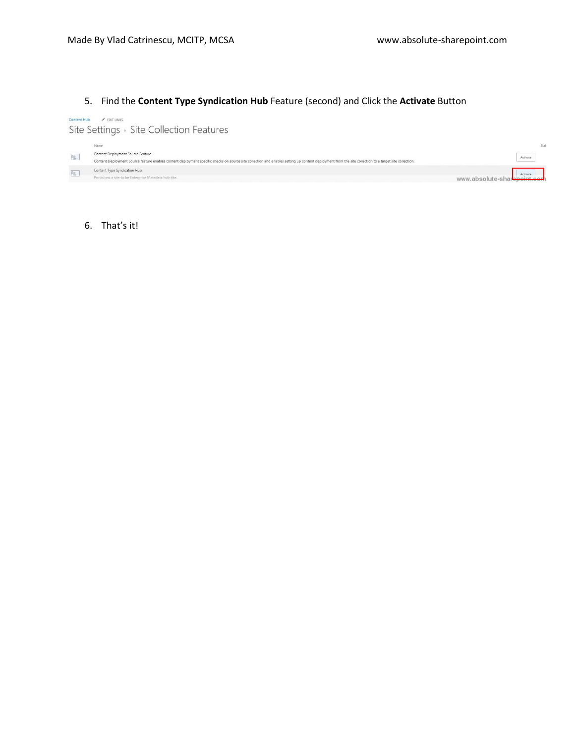#### 5. Find the **Content Type Syndication Hub** Feature (second) and Click the **Activate** Button

Content Hub / EDIT LINKS Site Settings > Site Collection Features

|    | Name                                                                                                                                                                                                                                        | Stat                                    |
|----|---------------------------------------------------------------------------------------------------------------------------------------------------------------------------------------------------------------------------------------------|-----------------------------------------|
| B. | Content Deployment Source Feature<br>Content Deployment Source feature enables content deployment specific checks on source site collection and enables setting up content deployment from the site collection to a target site collection. | Activate                                |
|    | Content Type Syndication Hub<br>Provisions a site to be Enterprise Metadata hub site.                                                                                                                                                       | Activate<br>www.absolute-sharepoint.com |

#### 6. That's it!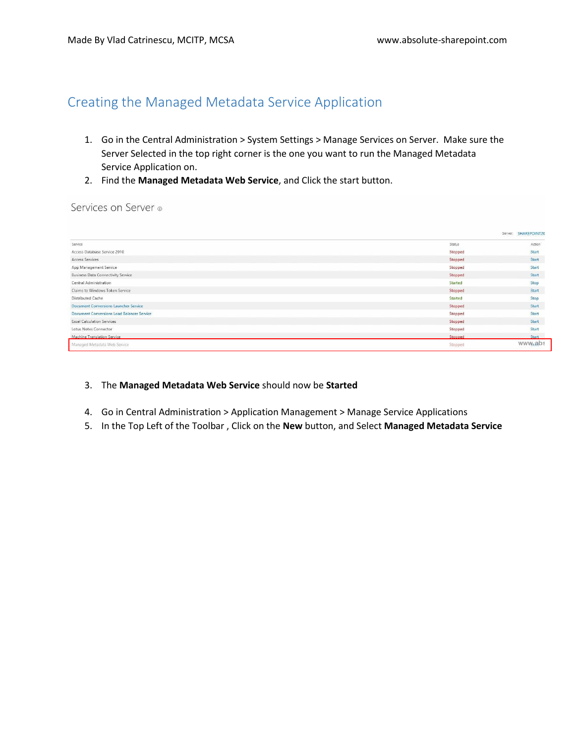### Creating the Managed Metadata Service Application

- 1. Go in the Central Administration > System Settings > Manage Services on Server. Make sure the Server Selected in the top right corner is the one you want to run the Managed Metadata Service Application on.
- 2. Find the **Managed Metadata Web Service**, and Click the start button.

#### Services on Server ®

|                                            |         | Server: SHAREPOINT20 |
|--------------------------------------------|---------|----------------------|
| Service                                    | Status  | Action               |
| Access Database Service 2010               | Stopped | Start                |
| Access Services                            | Stopped | Start                |
| App Management Service                     | Stopped | Start                |
| <b>Business Data Connectivity Service</b>  | Stopped | Start                |
| Central Administration                     | Started | Stop                 |
| Claims to Windows Token Service            | Stopped | Start                |
| Distributed Cache                          | Started | Stop                 |
| Document Conversions Launcher Service      | Stopped | Start                |
| Document Conversions Load Balancer Service | Stopped | Start                |
| <b>Excel Calculation Services</b>          | Stopped | Start                |
| Lotus Notes Connector                      | Stopped | Start                |
| <b>Machine Translation Service</b>         | Stopped | Start                |
| Managed Metadata Web Service               | Stopped | www.abs              |

#### 3. The **Managed Metadata Web Service** should now be **Started**

- 4. Go in Central Administration > Application Management > Manage Service Applications
- 5. In the Top Left of the Toolbar , Click on the **New** button, and Select **Managed Metadata Service**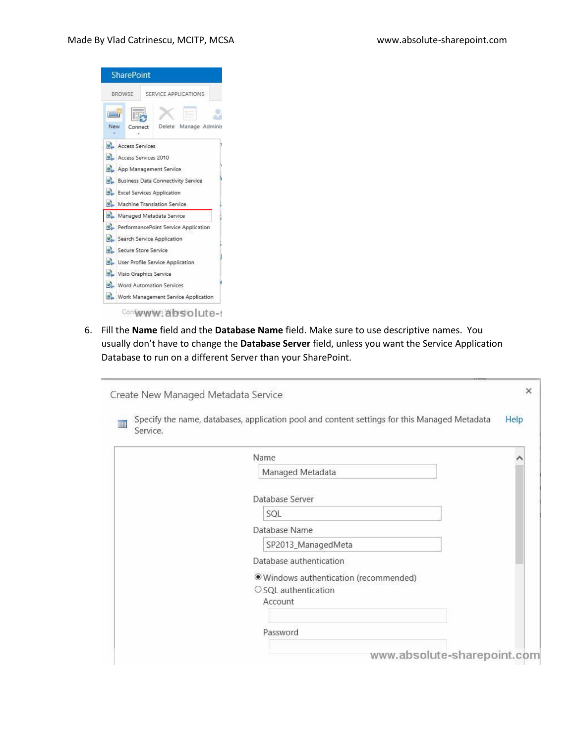

6. Fill the **Name** field and the **Database Name** field. Make sure to use descriptive names. You usually don't have to change the **Database Server** field, unless you want the Service Application Database to run on a different Server than your SharePoint.

| Service. | Specify the name, databases, application pool and content settings for this Managed Metadata | Help |
|----------|----------------------------------------------------------------------------------------------|------|
|          | Name                                                                                         |      |
|          | Managed Metadata                                                                             |      |
|          | Database Server                                                                              |      |
|          | SQL                                                                                          |      |
|          | Database Name                                                                                |      |
|          | SP2013_ManagedMeta                                                                           |      |
|          | Database authentication                                                                      |      |
|          | · Windows authentication (recommended)                                                       |      |
|          | $\circ$ SQL authentication                                                                   |      |
|          | Account                                                                                      |      |
|          |                                                                                              |      |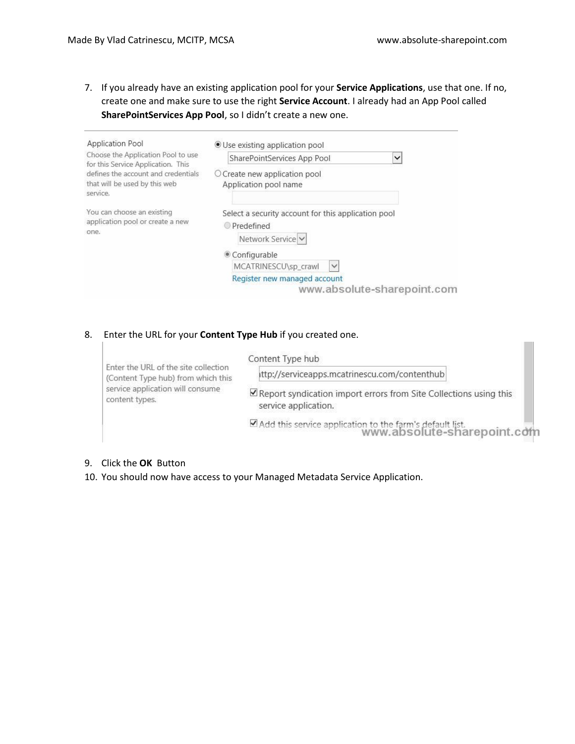7. If you already have an existing application pool for your **Service Applications**, use that one. If no, create one and make sure to use the right **Service Account**. I already had an App Pool called **SharePointServices App Pool**, so I didn't create a new one.

| Application Pool                                                                 | ● Use existing application pool                                                                                                              |  |  |  |
|----------------------------------------------------------------------------------|----------------------------------------------------------------------------------------------------------------------------------------------|--|--|--|
| Choose the Application Pool to use<br>for this Service Application. This         | SharePointServices App Pool<br>$\checkmark$                                                                                                  |  |  |  |
| defines the account and credentials<br>that will be used by this web<br>service. | $\circ$ Create new application pool<br>Application pool name                                                                                 |  |  |  |
| You can choose an existing<br>application pool or create a new<br>one.           | Select a security account for this application pool<br>Predefined<br>Network Service<br>Configurable<br>MCATRINESCU\sp_crawl<br>$\checkmark$ |  |  |  |
|                                                                                  | Register new managed account<br>www.absolute-sharepoint.com                                                                                  |  |  |  |

#### 8. Enter the URL for your **Content Type Hub** if you created one.

| Enter the URL of the site collection<br>(Content Type hub) from which this<br>service application will consume<br>content types. | Content Type hub                                                                                 |
|----------------------------------------------------------------------------------------------------------------------------------|--------------------------------------------------------------------------------------------------|
|                                                                                                                                  | ittp://serviceapps.mcatrinescu.com/contenthub                                                    |
|                                                                                                                                  | $\Box$ Report syndication import errors from Site Collections using this<br>service application. |
|                                                                                                                                  | MAdd this service application to the farm's default list.                                        |

#### 9. Click the **OK** Button

10. You should now have access to your Managed Metadata Service Application.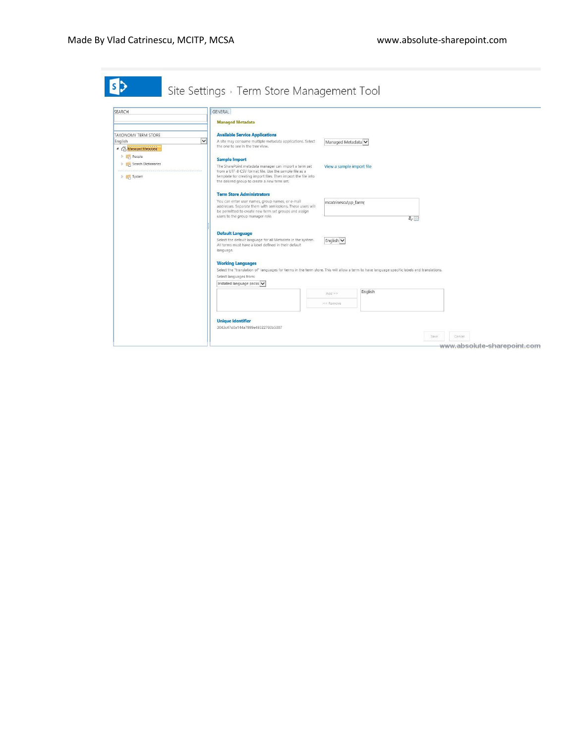|                                                                                 | GENERAL<br><b>Managed Metadata</b>                                                                                                                                                                                                                      |                           |         |                    |  |
|---------------------------------------------------------------------------------|---------------------------------------------------------------------------------------------------------------------------------------------------------------------------------------------------------------------------------------------------------|---------------------------|---------|--------------------|--|
| TAXONOMY TERM STORE<br>$\checkmark$<br>English<br><sup>4</sup> Managed Metadata | <b>Available Service Applications</b><br>A site may consume multiple metadata applications. Select<br>the one to see in the tree view.                                                                                                                  | Managed Metadata          |         |                    |  |
| P People<br><b>Search Dictionaries</b><br><b>D</b> System                       | <b>Sample Import</b><br>The SharePoint metadata manager can import a term set<br>from a UTF-8 CSV format file. Use the sample file as a<br>template for creating import files. Then import the file into<br>the desired group to create a new term set. | View a sample import file |         |                    |  |
|                                                                                 | <b>Term Store Administrators</b><br>You can enter user names, group names, or e-mail<br>addresses. Separate them with semicolons. These users will<br>be permitted to create new term set groups and assign<br>users to the group manager role.         | mcatrinescu\sp_farm;      |         | $\frac{2}{\omega}$ |  |
|                                                                                 | <b>Default Language</b><br>Select the default language for all Metadata in the system.<br>All terms must have a label defined in their default<br>language.                                                                                             | English V                 |         |                    |  |
|                                                                                 | <b>Working Languages</b><br>Select the "translation of" languages for terms in the term store. This will allow a term to have language specific labels and translations.<br>Select languages from:<br>Installed language packs                          |                           |         |                    |  |
|                                                                                 |                                                                                                                                                                                                                                                         | Add >><br><< Remove       | English |                    |  |